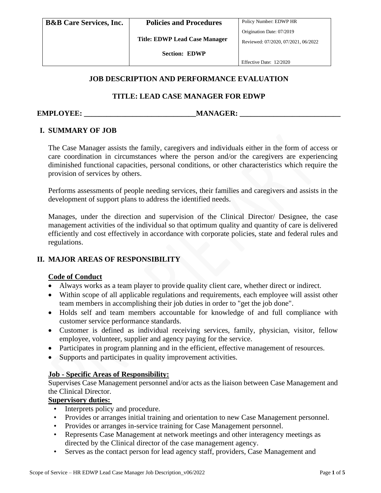**Title: EDWP Lead Case Manager**

**Section: EDWP**

Effective Date: 12/2020

## **JOB DESCRIPTION AND PERFORMANCE EVALUATION**

# **TITLE: LEAD CASE MANAGER FOR EDWP**

#### **EMPLOYEE: with a manufacture of the manufacture of the manufacture of the manufacture of the manufacture of the manufacture of the manufacture of the manufacture of the manufacture of the manufacture of the manufacture**

# **I. SUMMARY OF JOB**

The Case Manager assists the family, caregivers and individuals either in the form of access or care coordination in circumstances where the person and/or the caregivers are experiencing diminished functional capacities, personal conditions, or other characteristics which require the provision of services by others.

Performs assessments of people needing services, their families and caregivers and assists in the development of support plans to address the identified needs.

Manages, under the direction and supervision of the Clinical Director/ Designee, the case management activities of the individual so that optimum quality and quantity of care is delivered efficiently and cost effectively in accordance with corporate policies, state and federal rules and regulations.

## **II. MAJOR AREAS OF RESPONSIBILITY**

## **Code of Conduct**

- Always works as a team player to provide quality client care, whether direct or indirect.
- Within scope of all applicable regulations and requirements, each employee will assist other team members in accomplishing their job duties in order to "get the job done".
- Holds self and team members accountable for knowledge of and full compliance with customer service performance standards.
- Customer is defined as individual receiving services, family, physician, visitor, fellow employee, volunteer, supplier and agency paying for the service.
- Participates in program planning and in the efficient, effective management of resources.
- Supports and participates in quality improvement activities.

## **Job - Specific Areas of Responsibility:**

Supervises Case Management personnel and/or acts as the liaison between Case Management and the Clinical Director.

## **Supervisory duties:**

- Interprets policy and procedure.
- Provides or arranges initial training and orientation to new Case Management personnel.
- Provides or arranges in-service training for Case Management personnel.
- Represents Case Management at network meetings and other interagency meetings as directed by the Clinical director of the case management agency.
- Serves as the contact person for lead agency staff, providers, Case Management and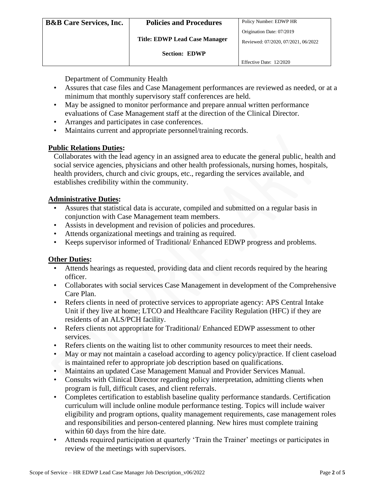Department of Community Health

- Assures that case files and Case Management performances are reviewed as needed, or at a minimum that monthly supervisory staff conferences are held.
- May be assigned to monitor performance and prepare annual written performance evaluations of Case Management staff at the direction of the Clinical Director.
- Arranges and participates in case conferences.
- Maintains current and appropriate personnel/training records.

# **Public Relations Duties:**

Collaborates with the lead agency in an assigned area to educate the general public, health and social service agencies, physicians and other health professionals, nursing homes, hospitals, health providers, church and civic groups, etc., regarding the services available, and establishes credibility within the community.

# **Administrative Duties:**

- Assures that statistical data is accurate, compiled and submitted on a regular basis in conjunction with Case Management team members.
- Assists in development and revision of policies and procedures.
- Attends organizational meetings and training as required.
- Keeps supervisor informed of Traditional/ Enhanced EDWP progress and problems.

## **Other Duties:**

- Attends hearings as requested, providing data and client records required by the hearing officer.
- Collaborates with social services Case Management in development of the Comprehensive Care Plan.
- Refers clients in need of protective services to appropriate agency: APS Central Intake Unit if they live at home; LTCO and Healthcare Facility Regulation (HFC) if they are residents of an ALS/PCH facility.
- Refers clients not appropriate for Traditional/ Enhanced EDWP assessment to other services.
- Refers clients on the waiting list to other community resources to meet their needs.
- May or may not maintain a caseload according to agency policy/practice. If client caseload is maintained refer to appropriate job description based on qualifications.
- Maintains an updated Case Management Manual and Provider Services Manual.
- Consults with Clinical Director regarding policy interpretation, admitting clients when program is full, difficult cases, and client referrals.
- Completes certification to establish baseline quality performance standards. Certification curriculum will include online module performance testing. Topics will include waiver eligibility and program options, quality management requirements, case management roles and responsibilities and person-centered planning. New hires must complete training within 60 days from the hire date.
- Attends required participation at quarterly 'Train the Trainer' meetings or participates in review of the meetings with supervisors.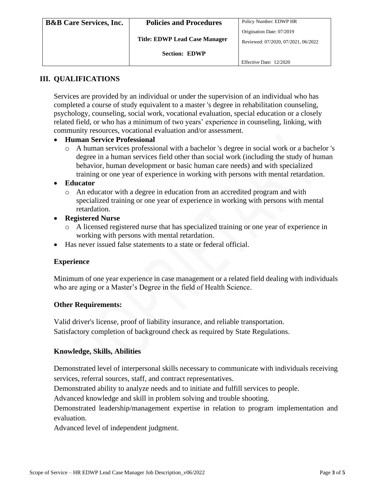| <b>B&amp;B</b> Care Services, Inc. | <b>Policies and Procedures</b>       | Policy Number: EDWP HR              |
|------------------------------------|--------------------------------------|-------------------------------------|
|                                    |                                      | Origination Date: 07/2019           |
|                                    | <b>Title: EDWP Lead Case Manager</b> | Reviewed: 07/2020, 07/2021, 06/2022 |
|                                    | <b>Section: EDWP</b>                 |                                     |
|                                    |                                      | Effective Date: 12/2020             |

# **III. QUALIFICATIONS**

Services are provided by an individual or under the supervision of an individual who has completed a course of study equivalent to a master 's degree in rehabilitation counseling, psychology, counseling, social work, vocational evaluation, special education or a closely related field, or who has a minimum of two years' experience in counseling, linking, with community resources, vocational evaluation and/or assessment.

#### • **Human Service Professional**

o A human services professional with a bachelor 's degree in social work or a bachelor 's degree in a human services field other than social work (including the study of human behavior, human development or basic human care needs) and with specialized training or one year of experience in working with persons with mental retardation.

#### • **Educator**

- o An educator with a degree in education from an accredited program and with specialized training or one year of experience in working with persons with mental retardation.
- **Registered Nurse**
	- o A licensed registered nurse that has specialized training or one year of experience in working with persons with mental retardation.
- Has never issued false statements to a state or federal official.

#### **Experience**

Minimum of one year experience in case management or a related field dealing with individuals who are aging or a Master's Degree in the field of Health Science.

#### **Other Requirements:**

Valid driver's license, proof of liability insurance, and reliable transportation. Satisfactory completion of background check as required by State Regulations.

#### **Knowledge, Skills, Abilities**

Demonstrated level of interpersonal skills necessary to communicate with individuals receiving services, referral sources, staff, and contract representatives.

Demonstrated ability to analyze needs and to initiate and fulfill services to people.

Advanced knowledge and skill in problem solving and trouble shooting.

Demonstrated leadership/management expertise in relation to program implementation and evaluation.

Advanced level of independent judgment.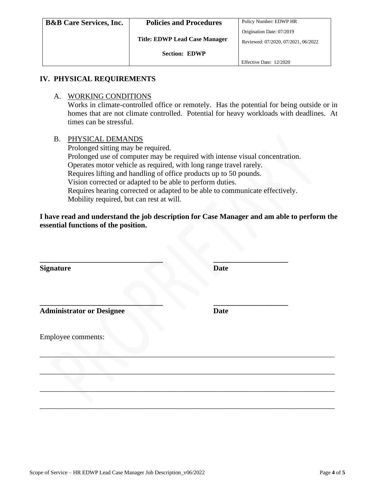| <b>B&amp;B</b> Care Services, Inc. | <b>Policies and Procedures</b>       | Policy Number: EDWP HR              |
|------------------------------------|--------------------------------------|-------------------------------------|
|                                    |                                      | Origination Date: 07/2019           |
|                                    | <b>Title: EDWP Lead Case Manager</b> | Reviewed: 07/2020, 07/2021, 06/2022 |
|                                    | <b>Section: EDWP</b>                 |                                     |
|                                    |                                      | Effective Date: 12/2020             |

#### **IV. PHYSICAL REQUIREMENTS**

#### A. WORKING CONDITIONS

Works in climate-controlled office or remotely. Has the potential for being outside or in homes that are not climate controlled. Potential for heavy workloads with deadlines. At times can be stressful.

#### B. PHYSICAL DEMANDS

Prolonged sitting may be required. Prolonged use of computer may be required with intense visual concentration. Operates motor vehicle as required, with long range travel rarely. Requires lifting and handling of office products up to 50 pounds. Vision corrected or adapted to be able to perform duties. Requires hearing corrected or adapted to be able to communicate effectively. Mobility required, but can rest at will.

**I have read and understand the job description for Case Manager and am able to perform the essential functions of the position.**

| <b>Signature</b>                 | <b>Date</b> |
|----------------------------------|-------------|
| <b>Administrator or Designee</b> | <b>Date</b> |
| <b>Employee comments:</b>        |             |
|                                  |             |
|                                  |             |

\_\_\_\_\_\_\_\_\_\_\_\_\_\_\_\_\_\_\_\_\_\_\_\_\_\_\_\_\_\_\_\_\_\_\_\_\_\_\_\_\_\_\_\_\_\_\_\_\_\_\_\_\_\_\_\_\_\_\_\_\_\_\_\_\_\_\_\_\_\_\_\_\_\_\_\_\_\_\_